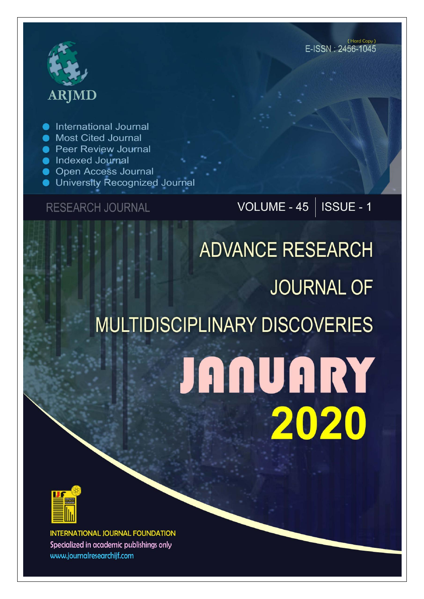# **ARJMD**

International Journal

- Most Cited Journal
- **Peer Review Journal**
- Indexed Journal
- **Open Access Journal**
- **University Recognized Journal**

## **RESEARCH JOURNAL**

## VOLUME -  $45$  | ISSUE - 1

## **ADVANCE RESEARCH JOURNAL OF MULTIDISCIPLINARY DISCOVERIES JANUARY** 2020



**INTERNATIONAL JOURNAL FOUNDATION** Specialized in academic publishings only www.journalresearchijf.com

(Hard Copy) E-ISSN: 2456-1045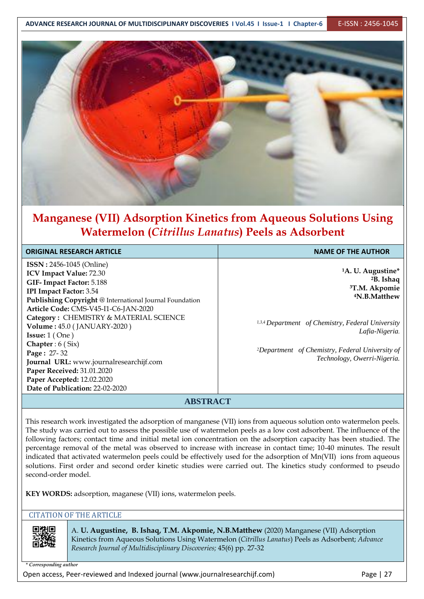

## **Manganese (VII) Adsorption Kinetics from Aqueous Solutions Using Watermelon (***Citrillus Lanatus***) Peels as Adsorbent**

| <b>ORIGINAL RESEARCH ARTICLE</b>                                                                                                                                                                                                                                                                                                                                                                                                                                                                                 | <b>NAME OF THE AUTHOR</b>                                                                                                                                                                                                                                                            |
|------------------------------------------------------------------------------------------------------------------------------------------------------------------------------------------------------------------------------------------------------------------------------------------------------------------------------------------------------------------------------------------------------------------------------------------------------------------------------------------------------------------|--------------------------------------------------------------------------------------------------------------------------------------------------------------------------------------------------------------------------------------------------------------------------------------|
| <b>ISSN</b> : 2456-1045 (Online)<br><b>ICV Impact Value: 72.30</b><br>GIF-Impact Factor: 5.188<br>IPI Impact Factor: 3.54<br>Publishing Copyright @ International Journal Foundation<br>Article Code: CMS-V45-I1-C6-JAN-2020<br>Category: CHEMISTRY & MATERIAL SCIENCE<br>Volume: 45.0 (JANUARY-2020)<br><b>Issue:</b> $1$ (One)<br>Chapter : $6$ (Six)<br>Page: 27-32<br>Journal URL: www.journalresearchijf.com<br>Paper Received: 31.01.2020<br>Paper Accepted: 12.02.2020<br>Date of Publication: 22-02-2020 | <sup>1</sup> A. U. Augustine*<br><sup>2</sup> B. Ishaq<br><sup>3</sup> T.M. Akpomie<br><sup>4</sup> N.B.Matthew<br>1,3,4 Department of Chemistry, Federal University<br>Lafia-Nigeria.<br><sup>2</sup> Department of Chemistry, Federal University of<br>Technology, Owerri-Nigeria. |
| <b>ABSTRACT</b>                                                                                                                                                                                                                                                                                                                                                                                                                                                                                                  |                                                                                                                                                                                                                                                                                      |

This research work investigated the adsorption of manganese (VII) ions from aqueous solution onto watermelon peels. The study was carried out to assess the possible use of watermelon peels as a low cost adsorbent. The influence of the following factors; contact time and initial metal ion concentration on the adsorption capacity has been studied. The percentage removal of the metal was observed to increase with increase in contact time; 10-40 minutes. The result indicated that activated watermelon peels could be effectively used for the adsorption of Mn(VII) ions from aqueous solutions. First order and second order kinetic studies were carried out. The kinetics study conformed to pseudo second-order model.

**KEY WORDS:** adsorption, maganese (VII) ions, watermelon peels.

#### CITATION OF THE ARTICLE



A. **U. Augustine, B. Ishaq, T.M. Akpomie, N.B.Matthew** (2020) Manganese (VII) Adsorption Kinetics from Aqueous Solutions Using Watermelon (*Citrillus Lanatus*) Peels as Adsorbent; *Advance Research Journal of Multidisciplinary Discoveries;* 45(6) pp. 27-32

*\* Corresponding author* 

Open access, Peer-reviewed and Indexed journal (www.journalresearchijf.com) Page | 27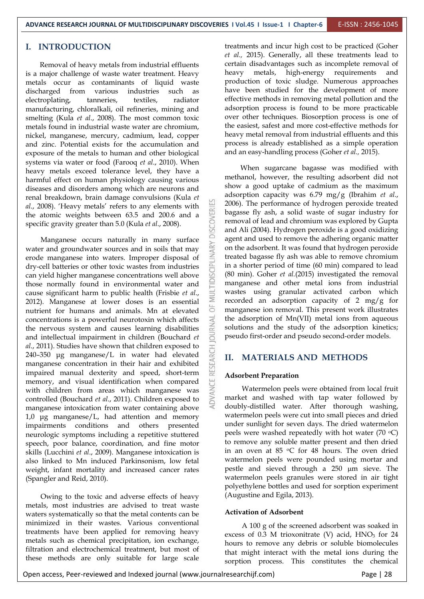**DISCOVERI** 

MULTIDISCIPLINARY

ä

OURNAL

RESEARCH

ADVANCE

#### **I. INTRODUCTION**

Removal of heavy metals from industrial effluents is a major challenge of waste water treatment. Heavy metals occur as contaminants of liquid waste discharged from various industries such as electroplating, tanneries, textiles, radiator manufacturing, chloralkali, oil refineries, mining and smelting (Kula *et al*., 2008). The most common toxic metals found in industrial waste water are chromium, nickel, manganese, mercury, cadmium, lead, copper and zinc. Potential exists for the accumulation and exposure of the metals to human and other biological systems via water or food (Farooq *et al*., 2010). When heavy metals exceed tolerance level, they have a harmful effect on human physiology causing various diseases and disorders among which are neurons and renal breakdown, brain damage convulsions (Kula *et al*., 2008). 'Heavy metals' refers to any elements with the atomic weights between 63.5 and 200.6 and a specific gravity greater than 5.0 (Kula *et al*., 2008).

Manganese occurs naturally in many surface water and groundwater sources and in soils that may erode manganese into waters. Improper disposal of dry-cell batteries or other toxic wastes from industries can yield higher manganese concentrations well above those normally found in environmental water and cause significant harm to public health (Frisbie *et al*., 2012). Manganese at lower doses is an essential nutrient for humans and animals. Mn at elevated concentrations is a powerful neurotoxin which affects the nervous system and causes learning disabilities and intellectual impairment in children (Bouchard *et al*., 2011). Studies have shown that children exposed to 240–350 μg manganese/L in water had elevated manganese concentration in their hair and exhibited impaired manual dexterity and speed, short-term memory, and visual identification when compared with children from areas which manganese was controlled (Bouchard *et al*., 2011). Children exposed to manganese intoxication from water containing above 1,0 μg manganese/L, had attention and memory impairments conditions and others presented neurologic symptoms including a repetitive stuttered speech, poor balance, coordination, and fine motor skills (Lucchini *et al*., 2009). Manganese intoxication is also linked to Mn induced Parkinsonism, low fetal weight, infant mortality and increased cancer rates (Spangler and Reid, 2010).

Owing to the toxic and adverse effects of heavy metals, most industries are advised to treat waste waters systematically so that the metal contents can be minimized in their wastes. Various conventional treatments have been applied for removing heavy metals such as chemical precipitation, ion exchange, filtration and electrochemical treatment, but most of these methods are only suitable for large scale

treatments and incur high cost to be practiced (Goher *et al.,* 2015). Generally, all these treatments lead to certain disadvantages such as incomplete removal of heavy metals, high-energy requirements and production of toxic sludge. Numerous approaches have been studied for the development of more effective methods in removing metal pollution and the adsorption process is found to be more practicable over other techniques. Biosorption process is one of the easiest, safest and more cost-effective methods for heavy metal removal from industrial effluents and this process is already established as a simple operation and an easy-handling process (Goher *et al.,* 2015).

When sugarcane bagasse was modified with methanol, however, the resulting adsorbent did not show a good uptake of cadmium as the maximum adsorption capacity was 6.79 mg/g (Ibrahim *et al*., 2006). The performance of hydrogen peroxide treated bagasse fly ash, a solid waste of sugar industry for removal of lead and chromium was explored by Gupta and Ali (2004). Hydrogen peroxide is a good oxidizing agent and used to remove the adhering organic matter on the adsorbent. It was found that hydrogen peroxide treated bagasse fly ash was able to remove chromium in a shorter period of time (60 min) compared to lead (80 min). Goher *et al.*(2015) investigated the removal manganese and other metal ions from industrial wastes using granular activated carbon which recorded an adsorption capacity of 2 mg/g for manganese ion removal. This present work illustrates the adsorption of Mn(VII) metal ions from aqueous solutions and the study of the adsorption kinetics; pseudo first-order and pseudo second-order models.

#### **II. MATERIALS AND METHODS**

#### **Adsorbent Preparation**

Watermelon peels were obtained from local fruit market and washed with tap water followed by doubly-distilled water. After thorough washing, watermelon peels were cut into small pieces and dried under sunlight for seven days. The dried watermelon peels were washed repeatedly with hot water  $(70 \text{ }^{\circ}\text{C})$ to remove any soluble matter present and then dried in an oven at  $85 \text{ °C}$  for  $48$  hours. The oven dried watermelon peels were pounded using mortar and pestle and sieved through a 250 µm sieve. The watermelon peels granules were stored in air tight polyethylene bottles and used for sorption experiment (Augustine and Egila, 2013).

#### **Activation of Adsorbent**

A 100 g of the screened adsorbent was soaked in excess of  $0.3$  M trioxonitrate (V) acid,  $HNO<sub>3</sub>$  for  $24$ hours to remove any debris or soluble biomolecules that might interact with the metal ions during the sorption process. This constitutes the chemical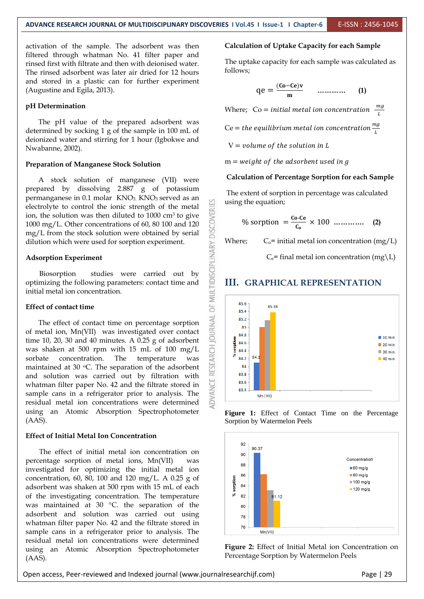업

**DISCOVERI** 

**MULTIDISCIPLINARY** 

5E

**JRNAL** 

RESEARCH

83.6 834

Mn (VII)

activation of the sample. The adsorbent was then filtered through whatman No. 41 filter paper and rinsed first with filtrate and then with deionised water. The rinsed adsorbent was later air dried for 12 hours and stored in a plastic can for further experiment (Augustine and Egila, 2013).

#### **pH Determination**

The pH value of the prepared adsorbent was determined by socking 1 g of the sample in 100 mL of deionized water and stirring for 1 hour (Igbokwe and Nwabanne, 2002).

#### **Preparation of Manganese Stock Solution**

A stock solution of manganese (VII) were prepared by dissolving 2.887 g of potassium permanganese in 0.1 molar KNO<sub>3</sub>. KNO<sub>3</sub> served as an electrolyte to control the ionic strength of the metal ion, the solution was then diluted to  $1000 \text{ cm}^3$  to give 1000 mg/L. Other concentrations of 60, 80 100 and 120 mg/L from the stock solution were obtained by serial dilution which were used for sorption experiment.

#### **Adsorption Experiment**

Biosorption studies were carried out by optimizing the following parameters: contact time and initial metal ion concentration.

#### **Effect of contact time**

The effect of contact time on percentage sorption of metal ion, Mn(VII) was investigated over contact time 10, 20, 30 and 40 minutes. A 0.25 g of adsorbent was shaken at 500 rpm with 15 mL of 100 mg/L sorbate concentration. The temperature was maintained at 30  $\circ$ C. The separation of the adsorbent and solution was carried out by filtration with whatman filter paper No. 42 and the filtrate stored in sample cans in a refrigerator prior to analysis. The residual metal ion concentrations were determined using an Atomic Absorption Spectrophotometer (AAS).

#### **Effect of Initial Metal Ion Concentration**

The effect of initial metal ion concentration on percentage sorption of metal ions, Mn(VII) was investigated for optimizing the initial metal ion concentration, 60, 80, 100 and 120 mg/L. A 0.25 g of adsorbent was shaken at 500 rpm with 15 mL of each of the investigating concentration. The temperature was maintained at 30 °C. the separation of the adsorbent and solution was carried out using whatman filter paper No. 42 and the filtrate stored in sample cans in a refrigerator prior to analysis. The residual metal ion concentrations were determined using an Atomic Absorption Spectrophotometer (AAS).

#### **Calculation of Uptake Capacity for each Sample**

The uptake capacity for each sample was calculated as follows;

$$
qe = \frac{(Co - Ce)v}{m} \qquad \dots \dots \dots \dots \tag{1}
$$

Where;  $Co = initial \, metal \, ion \, concentration \, \frac{m}{L}$ 

Ce = the equilibrium metal ion concentration  $\frac{m}{L}$ 

 $V = volume$  of the solution in L

 $m = weight of the adsorbent used in g$ 

#### **Calculation of Percentage Sorption for each Sample**

The extent of sorption in percentage was calculated using the equation;

% sorption 
$$
=
$$
  $\frac{\text{Co-Ce}}{\text{C}_0}$   $\times$  100  $\dots \dots \dots \dots$  (2)

Where;  $C_0$ = initial metal ion concentration (mg/L)

 $C_e$ = final metal ion concentration (mg\L)

85.6 85.38  $95A$ 85.2  $R<sub>5</sub>$ 84.8  $10 \text{ min}$ **iorption** 84.6  $120 \text{ min}$ 844  $30 \text{ min}$ š  $84$ 84.2  $140 \text{ min}$ 84 83.8

#### **III. GRAPHICAL REPRESENTATION**





**Figure 2:** Effect of Initial Metal ion Concentration on Percentage Sorption by Watermelon Peels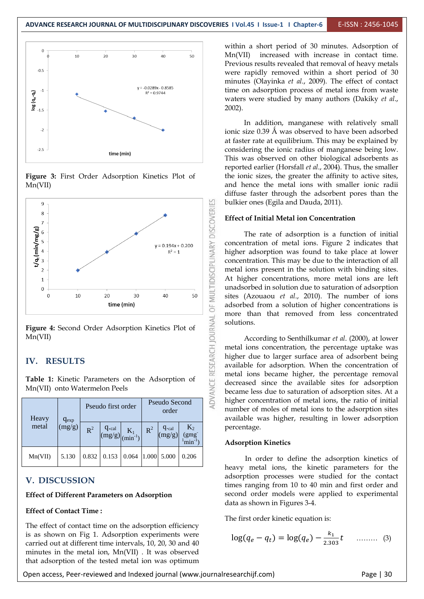

**Figure 3:** First Order Adsorption Kinetics Plot of Mn(VII)



**Figure 4:** Second Order Adsorption Kinetics Plot of Mn(VII)

#### **IV. RESULTS**

**Table 1:** Kinetic Parameters on the Adsorption of Mn(VII) onto Watermelon Peels

| Heavy<br>$q_{exp}$ |        | Pseudo first order |                                 |                                     | Pseudo Second<br>order |                            |                       |
|--------------------|--------|--------------------|---------------------------------|-------------------------------------|------------------------|----------------------------|-----------------------|
| metal              | (mg/g) | $R^2$              | $\frac{q_{\text{cal}}}{(mg/g)}$ | $K_1$ <sub>(min<sup>-1</sup>)</sub> | $R^2$                  | $q_{\text{cal}}$<br>(mg/g) | $K_2$<br>(gmg)<br>min |
| Mn(VII)            | 5.130  | 0.832              | 0.153                           | 0.064                               | 1.000                  | 5.000                      | 0.206                 |

#### **V. DISCUSSION**

#### **Effect of Different Parameters on Adsorption**

#### **Effect of Contact Time :**

The effect of contact time on the adsorption efficiency is as shown on Fig 1. Adsorption experiments were carried out at different time intervals, 10, 20, 30 and 40 minutes in the metal ion, Mn(VII) . It was observed that adsorption of the tested metal ion was optimum

within a short period of 30 minutes. Adsorption of Mn(VII) increased with increase in contact time. Previous results revealed that removal of heavy metals were rapidly removed within a short period of 30 minutes (Olayinka *et al*., 2009). The effect of contact time on adsorption process of metal ions from waste waters were studied by many authors (Dakiky *et al*., 2002).

In addition, manganese with relatively small ionic size 0.39 Å was observed to have been adsorbed at faster rate at equilibrium. This may be explained by considering the ionic radius of manganese being low. This was observed on other biological adsorbents as reported earlier (Horsfall *et al*., 2004). Thus, the smaller the ionic sizes, the greater the affinity to active sites, and hence the metal ions with smaller ionic radii diffuse faster through the adsorbent pores than the bulkier ones (Egila and Dauda, 2011).

#### **Effect of Initial Metal ion Concentration**

The rate of adsorption is a function of initial concentration of metal ions. Figure 2 indicates that higher adsorption was found to take place at lower concentration. This may be due to the interaction of all metal ions present in the solution with binding sites. At higher concentrations, more metal ions are left unadsorbed in solution due to saturation of adsorption sites (Azouaou *et al*., 2010). The number of ions adsorbed from a solution of higher concentrations is more than that removed from less concentrated solutions.

According to Senthilkumar *et al*. (2000), at lower metal ions concentration, the percentage uptake was higher due to larger surface area of adsorbent being available for adsorption. When the concentration of metal ions became higher, the percentage removal decreased since the available sites for adsorption became less due to saturation of adsorption sites. At a higher concentration of metal ions, the ratio of initial number of moles of metal ions to the adsorption sites available was higher, resulting in lower adsorption percentage.

#### **Adsorption Kinetics**

In order to define the adsorption kinetics of heavy metal ions, the kinetic parameters for the adsorption processes were studied for the contact times ranging from 10 to 40 min and first order and second order models were applied to experimental data as shown in Figures 3-4.

The first order kinetic equation is:

$$
\log(q_e - q_t) = \log(q_e) - \frac{k_1}{2.303}t \quad \dots \dots \dots \quad (3)
$$

Open access, Peer-reviewed and Indexed journal (www.journalresearchijf.com) Page | 30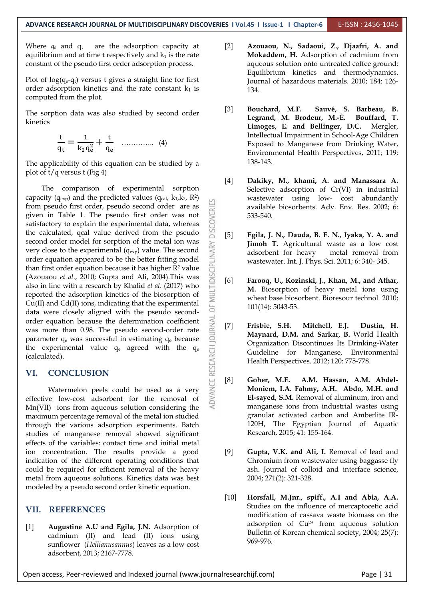**DISCOVERI** 

MULTIDISCIPLINARY

öF

**IOURNAL** 

ADVANCE RESEARCH

Where  $q_e$  and  $q_t$  are the adsorption capacity at equilibrium and at time  $t$  respectively and  $k_1$  is the rate constant of the pseudo first order adsorption process.

Plot of  $log(q_e-q_t)$  versus t gives a straight line for first order adsorption kinetics and the rate constant  $k_1$  is computed from the plot.

The sorption data was also studied by second order kinetics

$$
\frac{t}{q_t} = \frac{1}{k_2 q_e^2} + \frac{t}{q_e} \quad \dots \dots \dots \dots \quad (4)
$$

The applicability of this equation can be studied by a plot of  $t/q$  versus  $t$  (Fig 4)

The comparison of experimental sorption capacity ( $q_{exp}$ ) and the predicted values ( $q_{cal}$ ,  $k_1$ , $k_2$ ,  $R^2$ ) from pseudo first order, pseudo second order are as given in Table 1. The pseudo first order was not satisfactory to explain the experimental data, whereas the calculated, qcal value derived from the pseudo second order model for sorption of the metal ion was very close to the experimental  $(q_{exp})$  value. The second order equation appeared to be the better fitting model than first order equation because it has higher  $R^2$  value (Azouaou *et al*., 2010; Gupta and Ali, 2004).This was also in line with a research by Khalid *et al*. (2017) who reported the adsorption kinetics of the biosorption of Cu(II) and Cd(II) ions, indicating that the experimental data were closely aligned with the pseudo secondorder equation because the determination coefficient was more than 0.98. The pseudo second-order rate parameter  $q_e$  was successful in estimating  $q_e$  because the experimental value  $q_e$  agreed with the  $q_e$ (calculated).

#### **VI. CONCLUSION**

Watermelon peels could be used as a very effective low-cost adsorbent for the removal of Mn(VII) ions from aqueous solution considering the maximum percentage removal of the metal ion studied through the various adsorption experiments. Batch studies of manganese removal showed significant effects of the variables: contact time and initial metal ion concentration. The results provide a good indication of the different operating conditions that could be required for efficient removal of the heavy metal from aqueous solutions. Kinetics data was best modeled by a pseudo second order kinetic equation.

#### **VII. REFERENCES**

[1] **Augustine A.U and Egila, J.N.** Adsorption of cadmium (II) and lead (II) ions using sunflower (*Hellianusannus*) leaves as a low cost adsorbent, 2013; 2167-7778.

- [2] **Azouaou, N., Sadaoui, Z., Djaafri, A. and Mokaddem, H.** Adsorption of cadmium from aqueous solution onto untreated coffee ground: Equilibrium kinetics and thermodynamics. Journal of hazardous materials. 2010; 184: 126- 134.
- [3] **Bouchard, M.F. Sauvé, S. Barbeau, B. Legrand, M. Brodeur, M.-È. Bouffard, T. Limoges, E. and Bellinger, D.C.** Mergler, Intellectual Impairment in School-Age Children Exposed to Manganese from Drinking Water, Environmental Health Perspectives, 2011; 119: 138-143.
- [4] **Dakiky, M., khami, A. and Manassara A.** Selective adsorption of Cr(VI) in industrial wastewater using low- cost abundantly available biosorbents. Adv. Env. Res. 2002; 6: 533-540.
- [5] **Egila, J. N., Dauda, B. E. N., Iyaka, Y. A. and Jimoh T.** Agricultural waste as a low cost adsorbent for heavy metal removal from wastewater. Int. J. Phys. Sci. 2011; 6: 340- 345.
- [6] **Farooq, U., Kozinski, J., Khan, M., and Athar, M.** Biosorption of heavy metal ions using wheat base biosorbent. Bioresour technol. 2010; 101(14): 5043-53.
- [7] **Frisbie, S.H. Mitchell, E.J. Dustin, H. Maynard, D.M. and Sarkar, B.** World Health Organization Discontinues Its Drinking-Water Guideline for Manganese, Environmental Health Perspectives. 2012; 120: 775-778.
- [8] **Goher, M.E. A.M. Hassan, A.M. Abdel-Moniem, I.A. Fahmy, A.H. Abdo, M.H. and El-sayed, S.M.** Removal of aluminum, iron and manganese ions from industrial wastes using granular activated carbon and Amberlite IR-120H, The Egyptian Journal of Aquatic Research, 2015; 41: 155-164.
- [9] **Gupta, V.K. and Ali, I.** Removal of lead and Chromium from wastewater using baggasse fly ash. Journal of colloid and interface science, 2004; 271(2): 321-328.
- [10] **Horsfall, M.Jnr., spiff., A.I and Abia, A.A.** Studies on the influence of mercaptocetic acid modification of cassava waste biomass on the adsorption of  $Cu^{2+}$  from aqueous solution Bulletin of Korean chemical society, 2004; 25(7): 969-976.